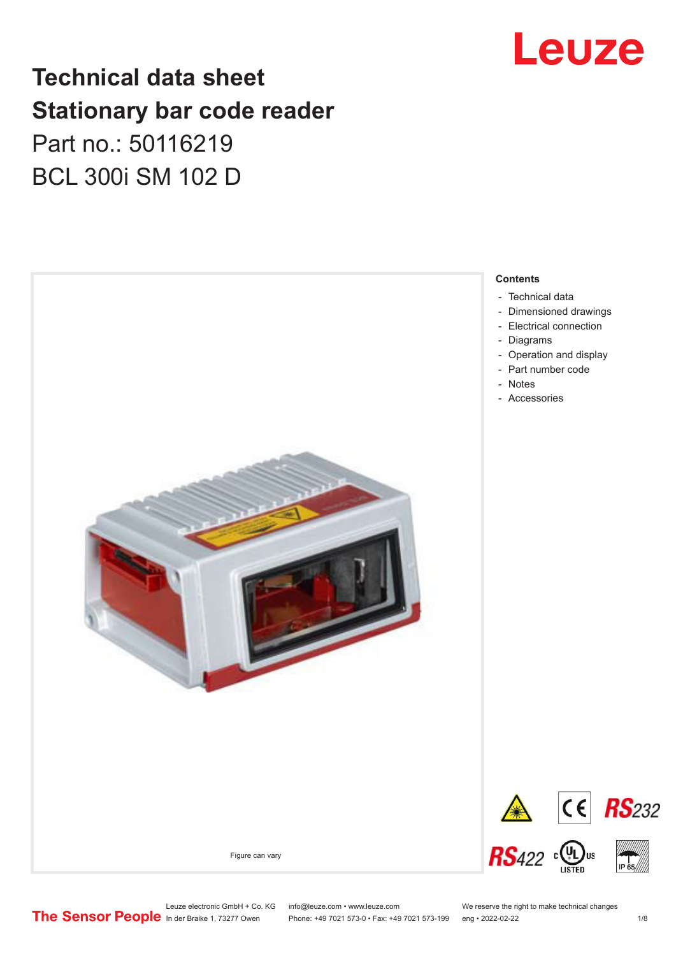## Leuze

## **Technical data sheet Stationary bar code reader** Part no.: 50116219 BCL 300i SM 102 D



Phone: +49 7021 573-0 • Fax: +49 7021 573-199 eng • 2022-02-22 1 /8

Leuze electronic GmbH + Co. KG info@leuze.com • www.leuze.com We reserve the right to make technical changes<br>
The Sensor People in der Braike 1, 73277 Owen Phone: +49 7021 573-0 • Fax: +49 7021 573-199 eng • 2022-02-22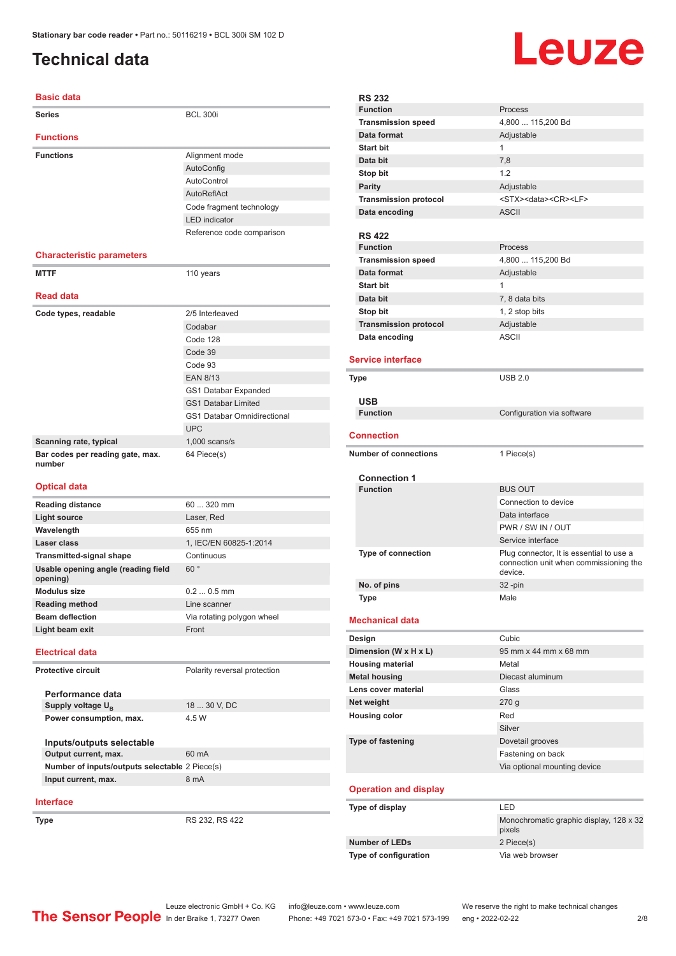#### <span id="page-1-0"></span>**Technical data**

#### **Basic data**

| <b>Series</b>                                   | <b>BCL 300i</b>                    |
|-------------------------------------------------|------------------------------------|
| <b>Functions</b>                                |                                    |
| <b>Functions</b>                                | Alignment mode                     |
|                                                 | AutoConfig                         |
|                                                 | AutoControl                        |
|                                                 | AutoReflAct                        |
|                                                 | Code fragment technology           |
|                                                 | <b>LED</b> indicator               |
|                                                 | Reference code comparison          |
| <b>Characteristic parameters</b>                |                                    |
| <b>MTTF</b>                                     | 110 years                          |
|                                                 |                                    |
| <b>Read data</b>                                |                                    |
| Code types, readable                            | 2/5 Interleaved                    |
|                                                 | Codabar                            |
|                                                 | Code 128                           |
|                                                 | Code 39                            |
|                                                 | Code 93                            |
|                                                 | <b>EAN 8/13</b>                    |
|                                                 | GS1 Databar Expanded               |
|                                                 | <b>GS1 Databar Limited</b>         |
|                                                 | <b>GS1 Databar Omnidirectional</b> |
|                                                 | <b>UPC</b>                         |
| Scanning rate, typical                          | $1,000$ scans/s                    |
| Bar codes per reading gate, max.<br>number      | 64 Piece(s)                        |
| <b>Optical data</b>                             |                                    |
| <b>Reading distance</b>                         | 60  320 mm                         |
| <b>Light source</b>                             | Laser, Red                         |
| Wavelength                                      | 655 nm                             |
| Laser class                                     | 1, IEC/EN 60825-1:2014             |
| <b>Transmitted-signal shape</b>                 | Continuous                         |
| Usable opening angle (reading field<br>opening) | 60°                                |
| <b>Modulus size</b>                             |                                    |
|                                                 | $0.20.5$ mm                        |
| <b>Reading method</b>                           | Line scanner                       |
| <b>Beam deflection</b>                          | Via rotating polygon wheel         |
| Light beam exit                                 | Front                              |
| <b>Electrical data</b>                          |                                    |
| <b>Protective circuit</b>                       | Polarity reversal protection       |
| Performance data                                |                                    |
| Supply voltage U <sub>B</sub>                   | 18  30 V, DC                       |
| Power consumption, max.                         | 4.5 W                              |
| Inputs/outputs selectable                       |                                    |
| Output current, max.                            | 60 mA                              |
| Number of inputs/outputs selectable 2 Piece(s)  |                                    |
| Input current, max.                             | 8 mA                               |

**Type** RS 232, RS 422

| <b>RS 232</b><br><b>Function</b> | Process                                           |
|----------------------------------|---------------------------------------------------|
| <b>Transmission speed</b>        | 4,800  115,200 Bd                                 |
| Data format                      | Adjustable                                        |
| <b>Start bit</b>                 | 1                                                 |
| Data bit                         | 7,8                                               |
| Stop bit                         | 1.2                                               |
| <b>Parity</b>                    | Adjustable                                        |
| <b>Transmission protocol</b>     | <stx><data><cr><lf></lf></cr></data></stx>        |
| Data encoding                    | <b>ASCII</b>                                      |
|                                  |                                                   |
| <b>RS 422</b>                    |                                                   |
| <b>Function</b>                  | Process                                           |
| <b>Transmission speed</b>        | 4,800  115,200 Bd                                 |
| Data format                      | Adjustable                                        |
| <b>Start bit</b>                 | 1                                                 |
| Data bit                         | 7, 8 data bits                                    |
| Stop bit                         | 1, 2 stop bits                                    |
| <b>Transmission protocol</b>     | Adjustable                                        |
| Data encoding                    | <b>ASCII</b>                                      |
|                                  |                                                   |
| <b>Service interface</b>         |                                                   |
| Type                             | <b>USB 2.0</b>                                    |
|                                  |                                                   |
| <b>USB</b>                       |                                                   |
| <b>Function</b>                  | Configuration via software                        |
|                                  |                                                   |
| Connection                       |                                                   |
| <b>Number of connections</b>     | 1 Piece(s)                                        |
|                                  |                                                   |
| <b>Connection 1</b>              |                                                   |
| <b>Function</b>                  | <b>BUS OUT</b>                                    |
|                                  | Connection to device                              |
|                                  | Data interface                                    |
|                                  | PWR / SW IN / OUT                                 |
|                                  | Service interface                                 |
| <b>Type of connection</b>        | Plug connector, It is essential to use a          |
|                                  | connection unit when commissioning the<br>device. |
| No. of pins                      | 32 -pin                                           |
| <b>Type</b>                      | Male                                              |
|                                  |                                                   |
| <b>Mechanical data</b>           |                                                   |
| Design                           | Cubic                                             |
| Dimension (W x H x L)            | 95 mm x 44 mm x 68 mm                             |
| <b>Housing material</b>          | Metal                                             |
| <b>Metal housing</b>             | Diecast aluminum                                  |
| Lens cover material              | Glass                                             |
| Net weight                       | 270g                                              |
| <b>Housing color</b>             | Red                                               |
|                                  | Silver                                            |
| <b>Type of fastening</b>         | Dovetail grooves                                  |
|                                  | Fastening on back                                 |
|                                  | Via optional mounting device                      |
|                                  |                                                   |
| <b>Operation and display</b>     |                                                   |
| Type of display                  | LED                                               |
|                                  | Monochromatic graphic display, 128 x 32           |
|                                  | pixels                                            |
|                                  |                                                   |
| <b>Number of LEDs</b>            | 2 Piece(s)                                        |
| Type of configuration            | Via web browser                                   |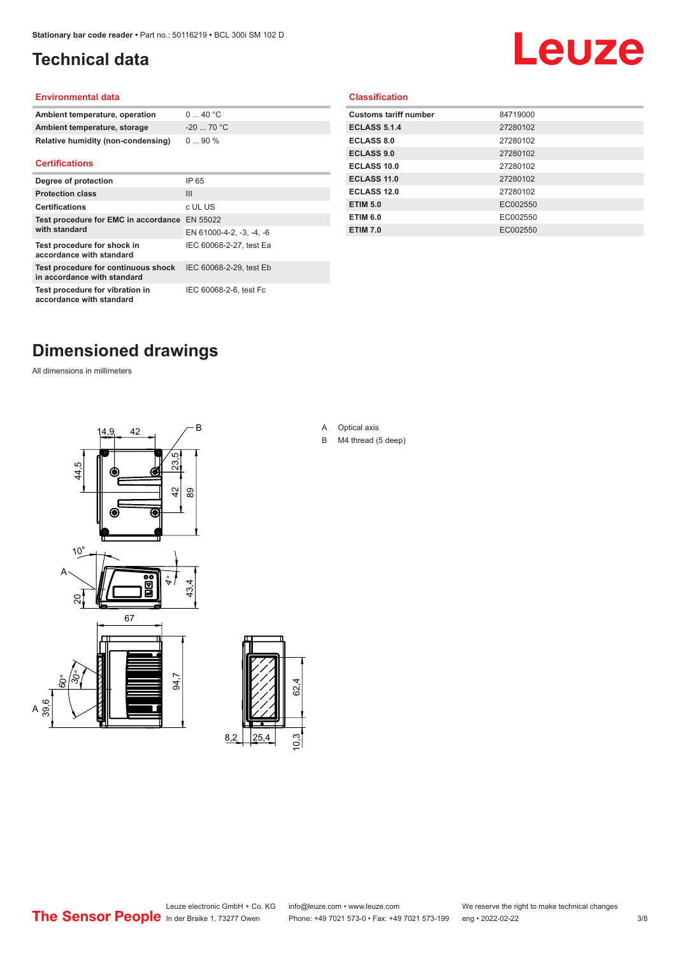### <span id="page-2-0"></span>**Technical data**

# Leuze

#### **Environmental data**

| Ambient temperature, operation     | 040 °C     |
|------------------------------------|------------|
| Ambient temperature, storage       | $-2070 °C$ |
| Relative humidity (non-condensing) | $090\%$    |

#### **Certifications**

| Degree of protection                                               | IP 65                    |
|--------------------------------------------------------------------|--------------------------|
| <b>Protection class</b>                                            | Ш                        |
| <b>Certifications</b>                                              | c UL US                  |
| Test procedure for EMC in accordance EN 55022                      |                          |
| with standard                                                      | EN 61000-4-2, -3, -4, -6 |
| Test procedure for shock in<br>accordance with standard            | IEC 60068-2-27, test Ea  |
| Test procedure for continuous shock<br>in accordance with standard | IEC 60068-2-29, test Eb  |
| Test procedure for vibration in<br>accordance with standard        | IEC 60068-2-6, test Fc   |

#### **Classification**

| <b>Customs tariff number</b> | 84719000 |
|------------------------------|----------|
| <b>ECLASS 5.1.4</b>          | 27280102 |
| <b>ECLASS 8.0</b>            | 27280102 |
| <b>ECLASS 9.0</b>            | 27280102 |
| ECLASS 10.0                  | 27280102 |
| <b>ECLASS 11.0</b>           | 27280102 |
| ECLASS 12.0                  | 27280102 |
| <b>ETIM 5.0</b>              | EC002550 |
| <b>ETIM 6.0</b>              | EC002550 |
| <b>ETIM 7.0</b>              | EC002550 |
|                              |          |

### **Dimensioned drawings**

All dimensions in millimeters





A Optical axis

B M4 thread (5 deep)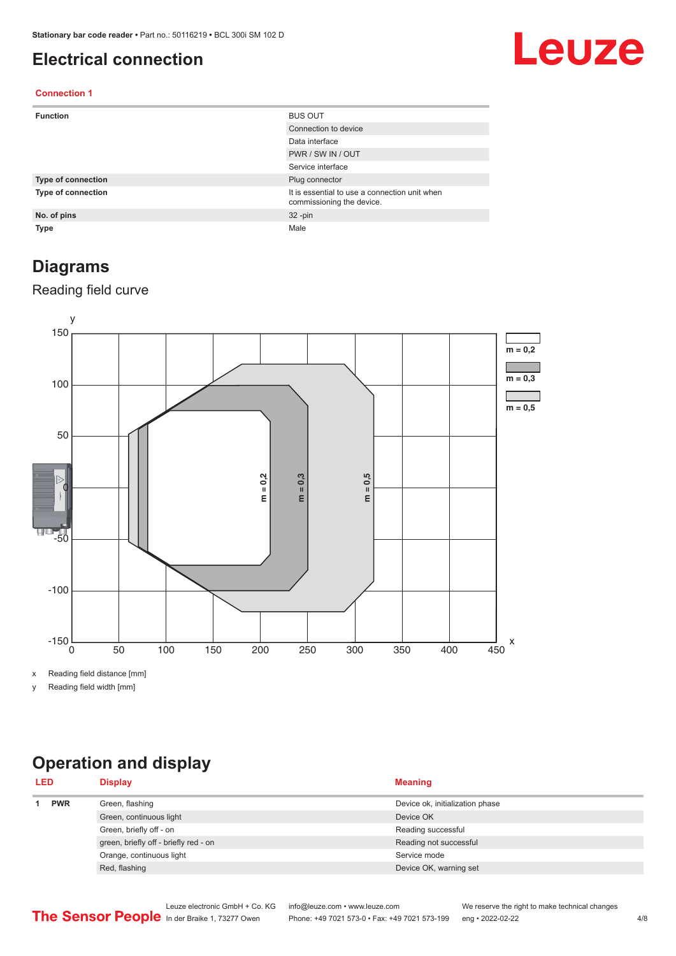#### <span id="page-3-0"></span>**Electrical connection**

## Leuze

#### **Connection 1**

| <b>Function</b>           | <b>BUS OUT</b>                                                             |
|---------------------------|----------------------------------------------------------------------------|
|                           | Connection to device                                                       |
|                           | Data interface                                                             |
|                           | PWR / SW IN / OUT                                                          |
|                           | Service interface                                                          |
| <b>Type of connection</b> | Plug connector                                                             |
| <b>Type of connection</b> | It is essential to use a connection unit when<br>commissioning the device. |
| No. of pins               | $32 - pin$                                                                 |
| <b>Type</b>               | Male                                                                       |

#### **Diagrams**

#### Reading field curve



x Reading field distance [mm]

y Reading field width [mm]

## **Operation and display**

| <b>LED</b> |            | <b>Display</b>                        | <b>Meaning</b>                  |
|------------|------------|---------------------------------------|---------------------------------|
|            | <b>PWR</b> | Green, flashing                       | Device ok, initialization phase |
|            |            | Green, continuous light               | Device OK                       |
|            |            | Green, briefly off - on               | Reading successful              |
|            |            | green, briefly off - briefly red - on | Reading not successful          |
|            |            | Orange, continuous light              | Service mode                    |
|            |            | Red, flashing                         | Device OK, warning set          |
|            |            |                                       |                                 |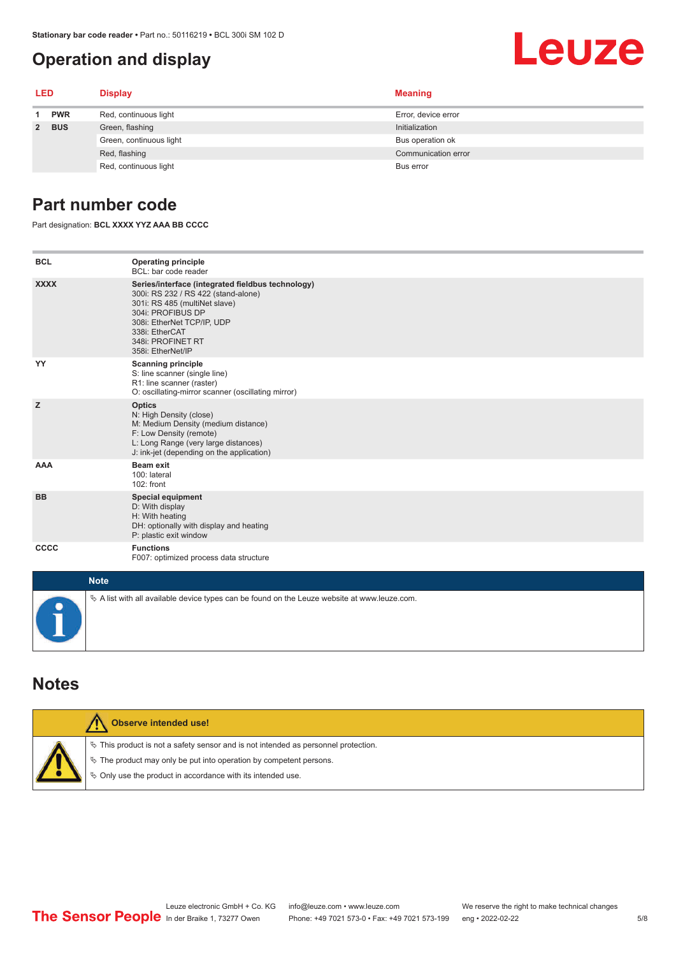#### <span id="page-4-0"></span>**Operation and display**

# Leuze

| <b>LED</b> |            | <b>Display</b>          | <b>Meaning</b>      |
|------------|------------|-------------------------|---------------------|
|            | <b>PWR</b> | Red, continuous light   | Error, device error |
|            | 2 BUS      | Green, flashing         | Initialization      |
|            |            | Green, continuous light | Bus operation ok    |
|            |            | Red, flashing           | Communication error |
|            |            | Red, continuous light   | Bus error           |

#### **Part number code**

Part designation: **BCL XXXX YYZ AAA BB CCCC**

| <b>BCL</b>  | <b>Operating principle</b><br>BCL: bar code reader                                                                                                                                                                                       |
|-------------|------------------------------------------------------------------------------------------------------------------------------------------------------------------------------------------------------------------------------------------|
| <b>XXXX</b> | Series/interface (integrated fieldbus technology)<br>300i: RS 232 / RS 422 (stand-alone)<br>301i: RS 485 (multiNet slave)<br>304i: PROFIBUS DP<br>308i: EtherNet TCP/IP, UDP<br>338i: EtherCAT<br>348i: PROFINET RT<br>358i: EtherNet/IP |
| YY          | <b>Scanning principle</b><br>S: line scanner (single line)<br>R1: line scanner (raster)<br>O: oscillating-mirror scanner (oscillating mirror)                                                                                            |
| z           | <b>Optics</b><br>N: High Density (close)<br>M: Medium Density (medium distance)<br>F: Low Density (remote)<br>L: Long Range (very large distances)<br>J: ink-jet (depending on the application)                                          |
| <b>AAA</b>  | Beam exit<br>100: lateral<br>102: front                                                                                                                                                                                                  |
| <b>BB</b>   | <b>Special equipment</b><br>D: With display<br>H: With heating<br>DH: optionally with display and heating<br>P: plastic exit window                                                                                                      |
| CCCC        | <b>Functions</b><br>F007: optimized process data structure                                                                                                                                                                               |
| <b>Note</b> |                                                                                                                                                                                                                                          |
|             | $\&$ A list with all available device types can be found on the Leuze website at www.leuze.com.                                                                                                                                          |

#### **Notes**

| Observe intended use!                                                                                                                                                                                                         |
|-------------------------------------------------------------------------------------------------------------------------------------------------------------------------------------------------------------------------------|
| $\%$ This product is not a safety sensor and is not intended as personnel protection.<br>$\%$ The product may only be put into operation by competent persons.<br>§ Only use the product in accordance with its intended use. |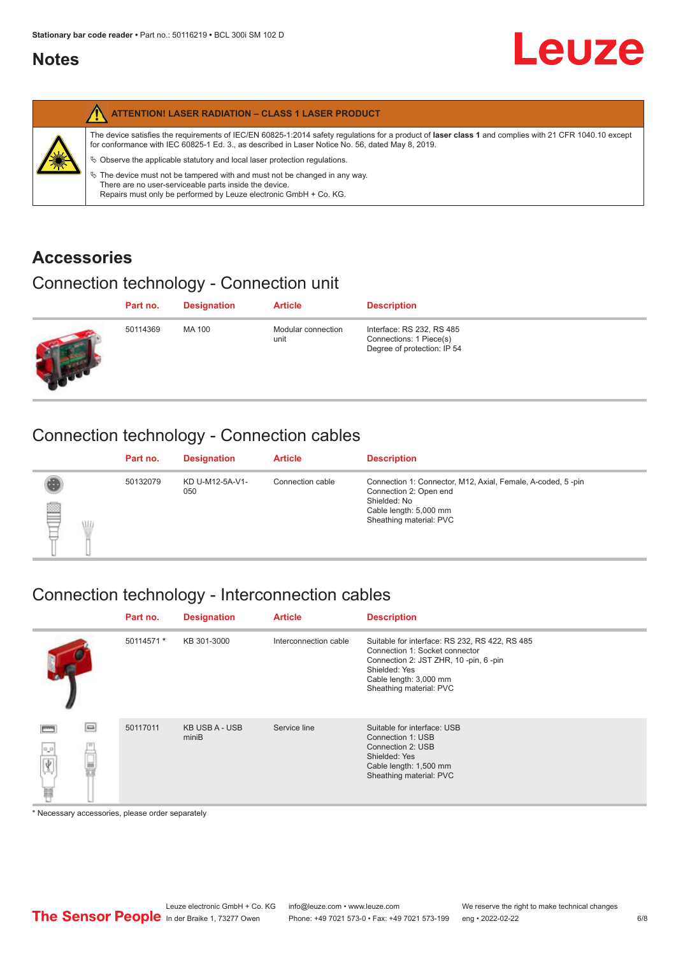#### <span id="page-5-0"></span>**Notes**

|   | <b>ATTENTION! LASER RADIATION - CLASS 1 LASER PRODUCT</b>                                                                                                                                                                                                                                                                                                                                                                                                                                                                                                   |
|---|-------------------------------------------------------------------------------------------------------------------------------------------------------------------------------------------------------------------------------------------------------------------------------------------------------------------------------------------------------------------------------------------------------------------------------------------------------------------------------------------------------------------------------------------------------------|
| 纂 | The device satisfies the requirements of IEC/EN 60825-1:2014 safety regulations for a product of laser class 1 and complies with 21 CFR 1040.10 except<br>for conformance with IEC 60825-1 Ed. 3., as described in Laser Notice No. 56, dated May 8, 2019.<br>$\&$ Observe the applicable statutory and local laser protection regulations.<br>$\&$ The device must not be tampered with and must not be changed in any way.<br>There are no user-serviceable parts inside the device.<br>Repairs must only be performed by Leuze electronic GmbH + Co. KG. |

#### **Accessories**

### Connection technology - Connection unit

| Part no. | <b>Designation</b> | <b>Article</b>             | <b>Description</b>                                                                  |
|----------|--------------------|----------------------------|-------------------------------------------------------------------------------------|
| 50114369 | MA 100             | Modular connection<br>unit | Interface: RS 232, RS 485<br>Connections: 1 Piece(s)<br>Degree of protection: IP 54 |

### Connection technology - Connection cables

|         | Part no. | <b>Designation</b>     | <b>Article</b>   | <b>Description</b>                                                                                                                                         |
|---------|----------|------------------------|------------------|------------------------------------------------------------------------------------------------------------------------------------------------------------|
| §<br>WL | 50132079 | KD U-M12-5A-V1-<br>050 | Connection cable | Connection 1: Connector, M12, Axial, Female, A-coded, 5-pin<br>Connection 2: Open end<br>Shielded: No<br>Cable length: 5,000 mm<br>Sheathing material: PVC |

### Connection technology - Interconnection cables

|               | Part no.   | <b>Designation</b>             | <b>Article</b>        | <b>Description</b>                                                                                                                                                                               |
|---------------|------------|--------------------------------|-----------------------|--------------------------------------------------------------------------------------------------------------------------------------------------------------------------------------------------|
|               | 50114571 * | KB 301-3000                    | Interconnection cable | Suitable for interface: RS 232, RS 422, RS 485<br>Connection 1: Socket connector<br>Connection 2: JST ZHR, 10 -pin, 6 -pin<br>Shielded: Yes<br>Cable length: 3,000 mm<br>Sheathing material: PVC |
| e<br>0.0<br>畐 | 50117011   | <b>KB USB A - USB</b><br>miniB | Service line          | Suitable for interface: USB<br>Connection 1: USB<br>Connection 2: USB<br>Shielded: Yes<br>Cable length: 1,500 mm<br>Sheathing material: PVC                                                      |

\* Necessary accessories, please order separately

**Leuze**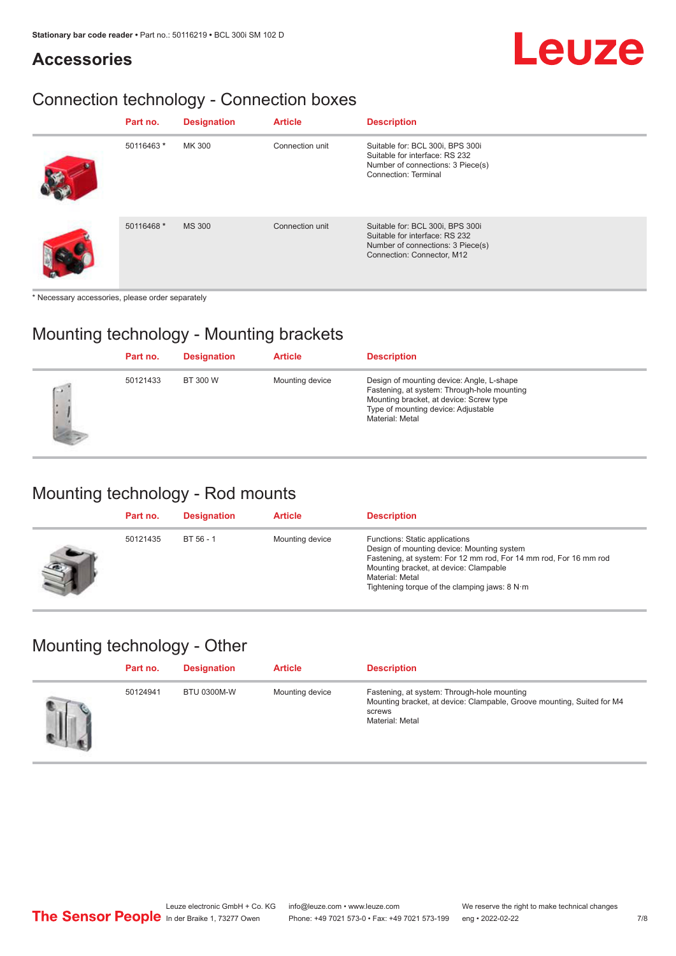# **Leuze**

#### **Accessories**

### Connection technology - Connection boxes

| Part no.   | <b>Designation</b> | <b>Article</b>  | <b>Description</b>                                                                                                                     |
|------------|--------------------|-----------------|----------------------------------------------------------------------------------------------------------------------------------------|
| 50116463 * | MK 300             | Connection unit | Suitable for: BCL 300i, BPS 300i<br>Suitable for interface: RS 232<br>Number of connections: 3 Piece(s)<br><b>Connection: Terminal</b> |
| 50116468 * | <b>MS 300</b>      | Connection unit | Suitable for: BCL 300i, BPS 300i<br>Suitable for interface: RS 232<br>Number of connections: 3 Piece(s)<br>Connection: Connector, M12  |

\* Necessary accessories, please order separately

#### Mounting technology - Mounting brackets

|             | Part no. | <b>Designation</b> | <b>Article</b>  | <b>Description</b>                                                                                                                                                                            |
|-------------|----------|--------------------|-----------------|-----------------------------------------------------------------------------------------------------------------------------------------------------------------------------------------------|
| $\sim$<br>× | 50121433 | BT 300 W           | Mounting device | Design of mounting device: Angle, L-shape<br>Fastening, at system: Through-hole mounting<br>Mounting bracket, at device: Screw type<br>Type of mounting device: Adjustable<br>Material: Metal |

#### Mounting technology - Rod mounts

| Part no. | <b>Designation</b> | <b>Article</b>  | <b>Description</b>                                                                                                                                                                                                                                                |
|----------|--------------------|-----------------|-------------------------------------------------------------------------------------------------------------------------------------------------------------------------------------------------------------------------------------------------------------------|
| 50121435 | $BT 56 - 1$        | Mounting device | Functions: Static applications<br>Design of mounting device: Mounting system<br>Fastening, at system: For 12 mm rod, For 14 mm rod, For 16 mm rod<br>Mounting bracket, at device: Clampable<br>Material: Metal<br>Tightening torque of the clamping jaws: $8 N·m$ |

#### Mounting technology - Other

| Part no. | <b>Designation</b> | <b>Article</b>  | <b>Description</b>                                                                                                                                 |
|----------|--------------------|-----------------|----------------------------------------------------------------------------------------------------------------------------------------------------|
| 50124941 | BTU 0300M-W        | Mounting device | Fastening, at system: Through-hole mounting<br>Mounting bracket, at device: Clampable, Groove mounting, Suited for M4<br>screws<br>Material: Metal |